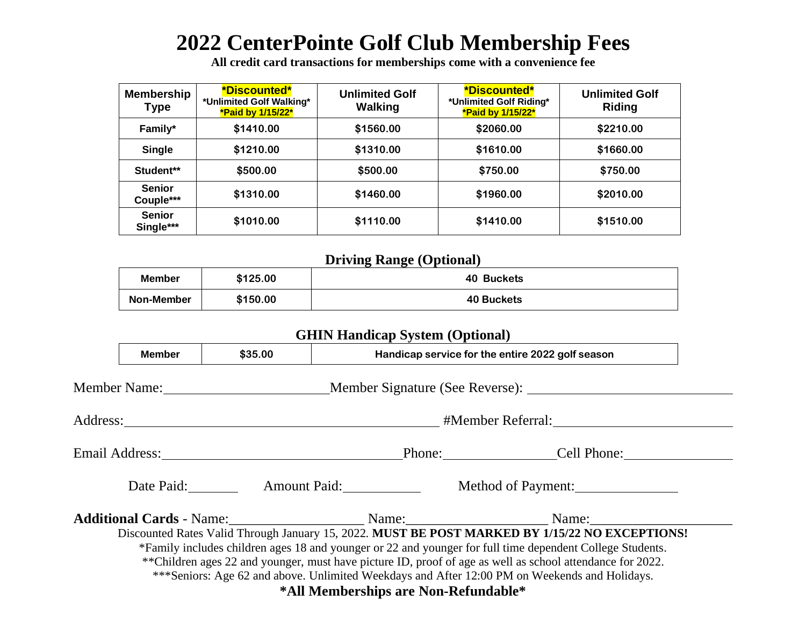## **2022 CenterPointe Golf Club Membership Fees**

**All credit card transactions for memberships come with a convenience fee**

| <b>Membership</b><br>Type  | <b>*Discounted*</b><br>*Unlimited Golf Walking*<br>*Paid by 1/15/22* | <b>Unlimited Golf</b><br><b>Walking</b> | <b>*Discounted*</b><br>*Unlimited Golf Riding*<br>*Paid by 1/15/22* | <b>Unlimited Golf</b><br>Riding |
|----------------------------|----------------------------------------------------------------------|-----------------------------------------|---------------------------------------------------------------------|---------------------------------|
| \$1410.00<br>Family*       |                                                                      | \$1560.00                               | \$2060.00                                                           | \$2210.00                       |
| <b>Single</b>              | \$1210.00                                                            | \$1310.00                               | \$1610.00                                                           | \$1660.00                       |
| Student**                  | \$500.00                                                             | \$500.00                                | \$750.00                                                            | \$750.00                        |
| <b>Senior</b><br>Couple*** | \$1310.00                                                            | \$1460.00                               | \$1960.00                                                           | \$2010.00                       |
| <b>Senior</b><br>Single*** | \$1010.00                                                            | \$1110.00                               | \$1410.00                                                           | \$1510.00                       |

## **Driving Range (Optional)**

| Member     | \$125.00 | 40 Buckets |
|------------|----------|------------|
| Non-Member | \$150.00 | 40 Buckets |

|  |               |         | <b>GHIN Handicap System (Optional)</b>     |                                                                                                           |  |  |
|--|---------------|---------|--------------------------------------------|-----------------------------------------------------------------------------------------------------------|--|--|
|  | <b>Member</b> | \$35.00 |                                            | Handicap service for the entire 2022 golf season                                                          |  |  |
|  |               |         |                                            | Member Name: Member Signature (See Reverse):                                                              |  |  |
|  |               |         |                                            |                                                                                                           |  |  |
|  |               |         |                                            | Email Address: <u>New York:</u> Phone: Cell Phone: Cell Phone:                                            |  |  |
|  |               |         | Date Paid: Amount Paid: Method of Payment: |                                                                                                           |  |  |
|  |               |         |                                            |                                                                                                           |  |  |
|  |               |         |                                            | Discounted Rates Valid Through January 15, 2022. MUST BE POST MARKED BY 1/15/22 NO EXCEPTIONS!            |  |  |
|  |               |         |                                            | *Family includes children ages 18 and younger or 22 and younger for full time dependent College Students. |  |  |
|  |               |         |                                            | **Children ages 22 and younger, must have picture ID, proof of age as well as school attendance for 2022. |  |  |
|  |               |         |                                            | ***Seniors: Age 62 and above. Unlimited Weekdays and After 12:00 PM on Weekends and Holidays.             |  |  |
|  |               |         | *All Memberships are Non-Refundable*       |                                                                                                           |  |  |